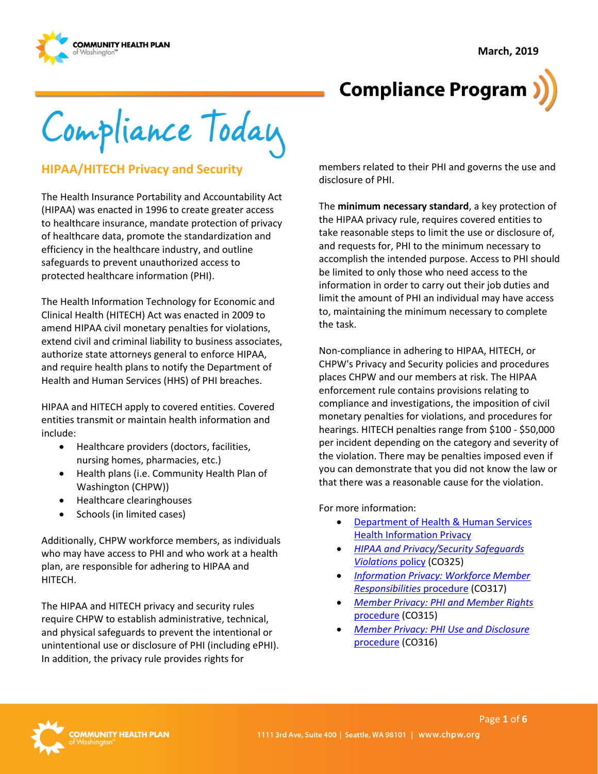

# **Compliance Program**

Compliance Today

# **HIPAA/HITECH Privacy and Security**

The Health Insurance Portability and Accountability Act (HIPAA) was enacted in 1996 to create greater access to healthcare insurance, mandate protection of privacy of healthcare data, promote the standardization and efficiency in the healthcare industry, and outline safeguards to prevent unauthorized access to protected healthcare information (PHI).

The Health Information Technology for Economic and Clinical Health (HITECH) Act was enacted in 2009 to amend HIPAA civil monetary penalties for violations, extend civil and criminal liability to business associates, authorize state attorneys general to enforce HIPAA, and require health plans to notify the Department of Health and Human Services (HHS) of PHI breaches.

HIPAA and HITECH apply to covered entities. Covered entities transmit or maintain health information and include:

- Healthcare providers (doctors, facilities, nursing homes, pharmacies, etc.)
- Health plans (i.e. Community Health Plan of Washington (CHPW))
- Healthcare clearinghouses
- Schools (in limited cases)

Additionally, CHPW workforce members, as individuals who may have access to PHI and who work at a health plan, are responsible for adhering to HIPAA and HITECH.

The HIPAA and HITECH privacy and security rules require CHPW to establish administrative, technical, and physical safeguards to prevent the intentional or unintentional use or disclosure of PHI (including ePHI). In addition, the privacy rule provides rights for

members related to their PHI and governs the use and disclosure of PHI.

The **minimum necessary standard**, a key protection of the HIPAA privacy rule, requires covered entities to take reasonable steps to limit the use or disclosure of, and requests for, PHI to the minimum necessary to accomplish the intended purpose. Access to PHI should be limited to only those who need access to the information in order to carry out their job duties and limit the amount of PHI an individual may have access to, maintaining the minimum necessary to complete the task.

Non-compliance in adhering to HIPAA, HITECH, or CHPW's Privacy and Security policies and procedures places CHPW and our members at risk. The HIPAA enforcement rule contains provisions relating to compliance and investigations, the imposition of civil monetary penalties for violations, and procedures for hearings. HITECH penalties range from \$100 - \$50,000 per incident depending on the category and severity of the violation. There may be penalties imposed even if you can demonstrate that you did not know the law or that there was a reasonable cause for the violation.

For more information:

- [Department of Health & Human Services](http://www.hhs.gov/ocr/privacy/index.html)  [Health Information Privacy](http://www.hhs.gov/ocr/privacy/index.html)
- *[HIPAA and Privacy/Security Safeguards](http://chpsp/PP/Compliance/HIPAA%20and%20Privacy%20Security%20Safeguards%20Violations%20Policy%20-%20CO325.pdf)  [Violations](http://chpsp/PP/Compliance/HIPAA%20and%20Privacy%20Security%20Safeguards%20Violations%20Policy%20-%20CO325.pdf)* policy (CO325)
- *[Information Privacy: Workforce Member](http://chpsp/PP/Compliance/Information%20Privacy%20Workforce%20Member%20Responsibilities%20Procedure%20-%20CO317.pdf)  [Responsibilities](http://chpsp/PP/Compliance/Information%20Privacy%20Workforce%20Member%20Responsibilities%20Procedure%20-%20CO317.pdf)* procedure (CO317)
- *[Member Privacy: PHI and Member Rights](http://chpsp/PP/Compliance/Member%20Privacy-PHI%20and%20Member%20Rights%20Procedure%20-%20CO315.pdf)*  [procedure](http://chpsp/PP/Compliance/Member%20Privacy-PHI%20and%20Member%20Rights%20Procedure%20-%20CO315.pdf) (CO315)
- *[Member Privacy: PHI Use and Disclosure](http://chpsp/PP/Compliance/Member%20Privacy-PHI%20Use%20and%20Disclosure%20Procedure%20-%20CO316.pdf)*  [procedure](http://chpsp/PP/Compliance/Member%20Privacy-PHI%20Use%20and%20Disclosure%20Procedure%20-%20CO316.pdf) (CO316)

Page **1** of **6**

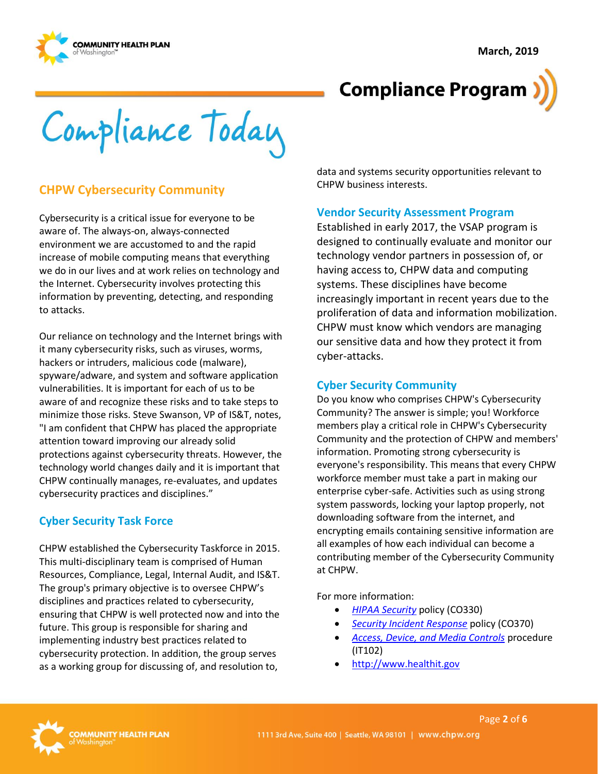**March, 2019**



# **Compliance Program**

Compliance Today

# **CHPW Cybersecurity Community**

Cybersecurity is a critical issue for everyone to be aware of. The always-on, always-connected environment we are accustomed to and the rapid increase of mobile computing means that everything we do in our lives and at work relies on technology and the Internet. Cybersecurity involves protecting this information by preventing, detecting, and responding to attacks.

Our reliance on technology and the Internet brings with it many cybersecurity risks, such as viruses, worms, hackers or intruders, malicious code (malware), spyware/adware, and system and software application vulnerabilities. It is important for each of us to be aware of and recognize these risks and to take steps to minimize those risks. Steve Swanson, VP of IS&T, notes, "I am confident that CHPW has placed the appropriate attention toward improving our already solid protections against cybersecurity threats. However, the technology world changes daily and it is important that CHPW continually manages, re-evaluates, and updates cybersecurity practices and disciplines."

### **Cyber Security Task Force**

CHPW established the Cybersecurity Taskforce in 2015. This multi-disciplinary team is comprised of Human Resources, Compliance, Legal, Internal Audit, and IS&T. The group's primary objective is to oversee CHPW's disciplines and practices related to cybersecurity, ensuring that CHPW is well protected now and into the future. This group is responsible for sharing and implementing industry best practices related to cybersecurity protection. In addition, the group serves as a working group for discussing of, and resolution to,

data and systems security opportunities relevant to CHPW business interests.

### **Vendor Security Assessment Program**

Established in early 2017, the VSAP program is designed to continually evaluate and monitor our technology vendor partners in possession of, or having access to, CHPW data and computing systems. These disciplines have become increasingly important in recent years due to the proliferation of data and information mobilization. CHPW must know which vendors are managing our sensitive data and how they protect it from cyber-attacks.

### **Cyber Security Community**

Do you know who comprises CHPW's Cybersecurity Community? The answer is simple; you! Workforce members play a critical role in CHPW's Cybersecurity Community and the protection of CHPW and members' information. Promoting strong cybersecurity is everyone's responsibility. This means that every CHPW workforce member must take a part in making our enterprise cyber-safe. Activities such as using strong system passwords, locking your laptop properly, not downloading software from the internet, and encrypting emails containing sensitive information are all examples of how each individual can become a contributing member of the Cybersecurity Community at CHPW.

For more information:

- *[HIPAA Security](http://chpsp/PP/Compliance/HIPAA%20Security%20Policy%20-%20CO330.pdf)* policy (CO330)
- *[Security Incident Response](http://chpsp/PP/Compliance/Security%20Incident%20Response%20Policy%20-%20CO370.pdf)* policy (CO370)
- *[Access, Device, and Media Controls](http://chpsp/PP/IST/Access%20Device%20and%20Media%20Controls%20Procedure%20-%20IT102.pdf)* procedure (IT102)
- [http://www.healthit.gov](http://www.healthit.gov/)

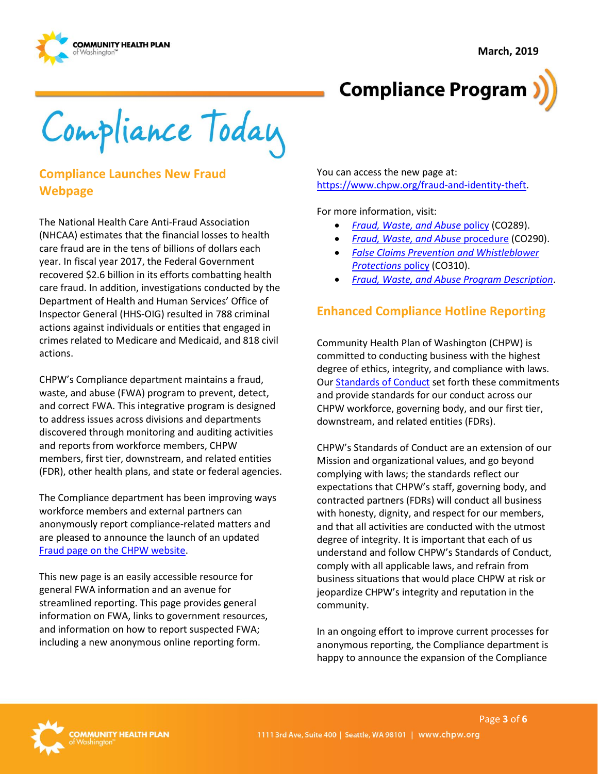



Compliance Today

# **Compliance Launches New Fraud Webpage**

The National Health Care Anti-Fraud Association (NHCAA) estimates that the financial losses to health care fraud are in the tens of billions of dollars each year. In fiscal year 2017, the Federal Government recovered \$2.6 billion in its efforts combatting health care fraud. In addition, investigations conducted by the Department of Health and Human Services' Office of Inspector General (HHS-OIG) resulted in 788 criminal actions against individuals or entities that engaged in crimes related to Medicare and Medicaid, and 818 civil actions.

CHPW's Compliance department maintains a fraud, waste, and abuse (FWA) program to prevent, detect, and correct FWA. This integrative program is designed to address issues across divisions and departments discovered through monitoring and auditing activities and reports from workforce members, CHPW members, first tier, downstream, and related entities (FDR), other health plans, and state or federal agencies.

The Compliance department has been improving ways workforce members and external partners can anonymously report compliance-related matters and are pleased to announce the launch of an updated [Fraud page on the CHPW website.](https://www.chpw.org/fraud-and-identity-theft)

This new page is an easily accessible resource for general FWA information and an avenue for streamlined reporting. This page provides general information on FWA, links to government resources, and information on how to report suspected FWA; including a new anonymous online reporting form.

You can access the new page at: [https://www.chpw.org/fraud-and-identity-theft.](https://www.chpw.org/fraud-and-identity-theft)

For more information, visit:

- *[Fraud, Waste, and Abuse](http://chpsp/PP/Compliance/Fraud,%20Waste,%20and%20Abuse%20Policy%20-%20CO289.pdf)* policy (CO289).
- *[Fraud, Waste, and Abuse](http://chpsp/PP/Compliance/Fraud,%20Waste,%20and%20Abuse%20Procedure%20-%20CO290.pdf)* procedure (CO290).
- *[False Claims Prevention and Whistleblower](http://chpsp/PP/Compliance/False%20Claims%20Prevention%20and%20Whistleblower%20Protections%20Policy%20-%20CO310.pdf)  [Protections](http://chpsp/PP/Compliance/False%20Claims%20Prevention%20and%20Whistleblower%20Protections%20Policy%20-%20CO310.pdf)* policy (CO310).
- *[Fraud, Waste, and Abuse Program Description](http://chpsp/PP/Compliance/Fraud,%20Waste,%20and%20Abuse%20Program%20Description%20-%20CO-PROG3.pdf)*.

# **Enhanced Compliance Hotline Reporting**

Community Health Plan of Washington (CHPW) is committed to conducting business with the highest degree of ethics, integrity, and compliance with laws. Our **Standards of Conduct** set forth these commitments and provide standards for our conduct across our CHPW workforce, governing body, and our first tier, downstream, and related entities (FDRs).

CHPW's Standards of Conduct are an extension of our Mission and organizational values, and go beyond complying with laws; the standards reflect our expectations that CHPW's staff, governing body, and contracted partners (FDRs) will conduct all business with honesty, dignity, and respect for our members, and that all activities are conducted with the utmost degree of integrity. It is important that each of us understand and follow CHPW's Standards of Conduct, comply with all applicable laws, and refrain from business situations that would place CHPW at risk or jeopardize CHPW's integrity and reputation in the community.

In an ongoing effort to improve current processes for anonymous reporting, the Compliance department is happy to announce the expansion of the Compliance

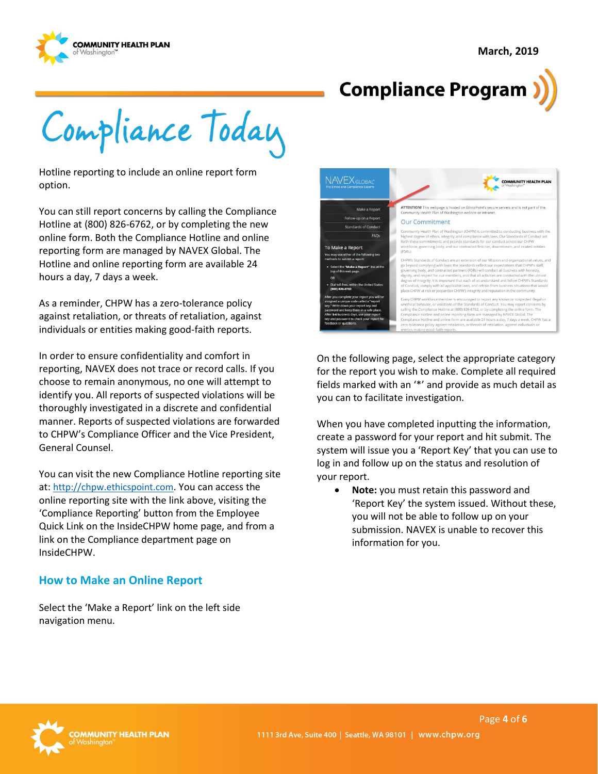



Compliance Today

Hotline reporting to include an online report form option.

You can still report concerns by calling the Compliance Hotline at (800) 826-6762, or by completing the new online form. Both the Compliance Hotline and online reporting form are managed by NAVEX Global. The Hotline and online reporting form are available 24 hours a day, 7 days a week.

As a reminder, CHPW has a zero-tolerance policy against retaliation, or threats of retaliation, against individuals or entities making good-faith reports.

In order to ensure confidentiality and comfort in reporting, NAVEX does not trace or record calls. If you choose to remain anonymous, no one will attempt to identify you. All reports of suspected violations will be thoroughly investigated in a discrete and confidential manner. Reports of suspected violations are forwarded to CHPW's Compliance Officer and the Vice President, General Counsel.

You can visit the new Compliance Hotline reporting site at: [http://chpw.ethicspoint.com](http://chpw.ethicspoint.com/). You can access the online reporting site with the link above, visiting the 'Compliance Reporting' button from the Employee Quick Link on the InsideCHPW home page, and from a link on the Compliance department page on InsideCHPW.

### **How to Make an Online Report**

Select the 'Make a Report' link on the left side navigation menu.



On the following page, select the appropriate category for the report you wish to make. Complete all required fields marked with an '\*' and provide as much detail as you can to facilitate investigation.

When you have completed inputting the information, create a password for your report and hit submit. The system will issue you a 'Report Key' that you can use to log in and follow up on the status and resolution of your report.

• **Note:** you must retain this password and 'Report Key' the system issued. Without these, you will not be able to follow up on your submission. NAVEX is unable to recover this information for you.

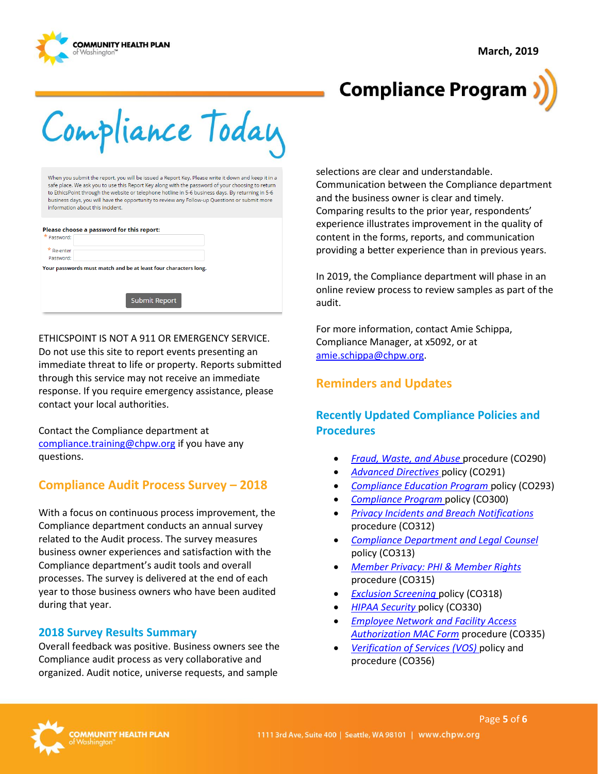



# **Compliance Program**

Compliance Today

When you submit the report, you will be issued a Report Key. Please write it down and keep it in a safe place. We ask you to use this Report Key along with the password of your choosing to return to EthicsPoint through the website or telephone hotline in 5-6 business days. By returning in 5-6 business days, you will have the opportunity to review any Follow-up Questions or submit more information about this incident.

#### Please choose a password for this report:

| <sup>*</sup> Password:    |                                                                 |
|---------------------------|-----------------------------------------------------------------|
| $*$ Re-enter<br>Password: |                                                                 |
|                           | Your passwords must match and be at least four characters long. |
|                           |                                                                 |
|                           |                                                                 |
|                           | <b>Submit Report</b>                                            |
|                           |                                                                 |
|                           |                                                                 |

#### ETHICSPOINT IS NOT A 911 OR EMERGENCY SERVICE.

Do not use this site to report events presenting an immediate threat to life or property. Reports submitted through this service may not receive an immediate response. If you require emergency assistance, please contact your local authorities.

Contact the Compliance department at [compliance.training@chpw.org](mailto:compliance.training@chpw.org) if you have any questions.

# **Compliance Audit Process Survey – 2018**

With a focus on continuous process improvement, the Compliance department conducts an annual survey related to the Audit process. The survey measures business owner experiences and satisfaction with the Compliance department's audit tools and overall processes. The survey is delivered at the end of each year to those business owners who have been audited during that year.

#### **2018 Survey Results Summary**

Overall feedback was positive. Business owners see the Compliance audit process as very collaborative and organized. Audit notice, universe requests, and sample

selections are clear and understandable. Communication between the Compliance department and the business owner is clear and timely. Comparing results to the prior year, respondents' experience illustrates improvement in the quality of content in the forms, reports, and communication providing a better experience than in previous years.

In 2019, the Compliance department will phase in an online review process to review samples as part of the audit.

For more information, contact Amie Schippa, Compliance Manager, at x5092, or at [amie.schippa@chpw.org.](mailto:amie.schippa@chpw.org)

# **Reminders and Updates**

# **Recently Updated Compliance Policies and Procedures**

- *[Fraud, Waste, and Abuse](http://chpsp/PP/Compliance/Fraud,%20Waste,%20and%20Abuse%20Procedure%20-%20CO290.pdf)* procedure (CO290)
- *[Advanced Directives](http://chpsp/PP/Compliance/Advanced%20Directives%20Policy%20-%20CO291.pdf)* policy (CO291)
- *[Compliance Education Program](http://chpsp/PP/Compliance/Compliance%20Education%20Program%20Policy%20-%20CO293.pdf)* policy (CO293)
- *[Compliance Program](http://chpsp/PP/Compliance/Compliance%20Program%20Policy%20-%20CO300.pdf)* policy (CO300)
- *[Privacy Incidents and Breach Notifications](http://chpsp/PP/Compliance/Privacy%20Incidents%20and%20Breach%20Notifications%20Policy%20-%20CO311.pdf)* procedure (CO312)
- *[Compliance Department and Legal Counsel](http://chpsp/PP/Compliance/Compliance%20Department%20and%20Legal%20Counsel%20Policy%20-%20CO313.pdf)* policy (CO313)
- *[Member Privacy: PHI & Member Rights](http://chpsp/PP/Compliance/Member%20Privacy-PHI%20and%20Member%20Rights%20Procedure%20-%20CO315.pdf)* procedure (CO315)
- *[Exclusion Screening](http://chpsp/PP/Compliance/Exclusion%20Screening%20Policy%20-%20CO318.pdf)* policy (CO318)
- *[HIPAA Security](http://chpsp/PP/Compliance/HIPAA%20Security%20Policy%20-%20CO330.pdf)* policy (CO330)
- *[Employee Network and Facility Access](http://chpsp/PP/Compliance/Employee%20Network%20and%20Facility%20Access%20Authorization%20MAC%20Form%20Procedure%20-%20CO335.pdf)  [Authorization](http://chpsp/PP/Compliance/Employee%20Network%20and%20Facility%20Access%20Authorization%20MAC%20Form%20Procedure%20-%20CO335.pdf) MAC Form* procedure (CO335)
- *[Verification of Services \(VOS\)](http://chpsp/PP/Compliance/Verification%20of%20Service%20VOS%20Policy%20and%20Procedure%20-%20CO356.pdf)* policy and procedure (CO356)